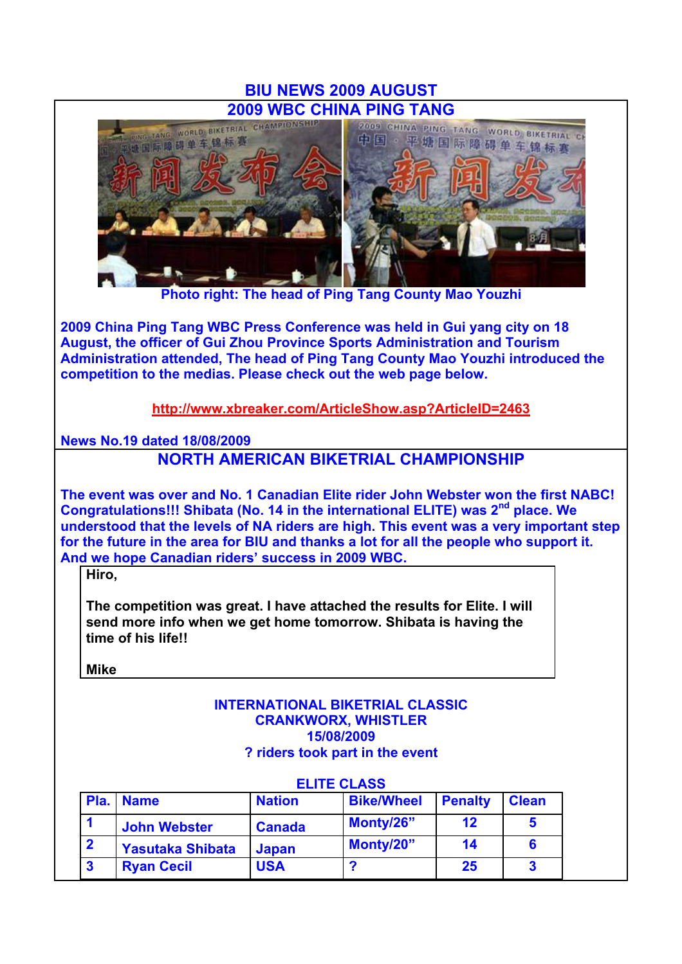# **BIU NEWS 2009 AUGUST**



**Photo right: The head of Ping Tang County Mao Youzhi**

**2009 China Ping Tang WBC Press Conference was held in Gui yang city on 18 August, the officer of Gui Zhou Province Sports Administration and Tourism Administration attended, The head of Ping Tang County Mao Youzhi introduced the competition to the medias. Please check out the web page below.**

**http://www.xbreaker.com/ArticleShow.asp?ArticleID=2463**

**News No.19 dated 18/08/2009**

# **NORTH AMERICAN BIKETRIAL CHAMPIONSHIP**

**The event was over and No. 1 Canadian Elite rider John Webster won the first NABC!**  Congratulations!!! Shibata (No. 14 in the international ELITE) was 2<sup>nd</sup> place. We **understood that the levels of NA riders are high. This event was a very important step for the future in the area for BIU and thanks a lot for all the people who support it. And we hope Canadian riders' success in 2009 WBC.**

**Hiro,** 

**The competition was great. I have attached the results for Elite. I will send more info when we get home tomorrow. Shibata is having the time of his life!!** 

**Mike**

#### **INTERNATIONAL BIKETRIAL CLASSIC CRANKWORX, WHISTLER 15/08/2009 ? riders took part in the event**

|                         | <b>ELITE CLASS</b>      |               |                   |                |              |  |  |
|-------------------------|-------------------------|---------------|-------------------|----------------|--------------|--|--|
|                         | <b>Pla.   Name</b>      | <b>Nation</b> | <b>Bike/Wheel</b> | <b>Penalty</b> | <b>Clean</b> |  |  |
|                         | <b>John Webster</b>     | <b>Canada</b> | Monty/26"         | 12             | 5            |  |  |
| $\overline{\mathbf{2}}$ | <b>Yasutaka Shibata</b> | <b>Japan</b>  | Monty/20"         | 14             | 6            |  |  |
| $\mathbf{3}$            | <b>Ryan Cecil</b>       | <b>USA</b>    | ?                 | 25             | 3            |  |  |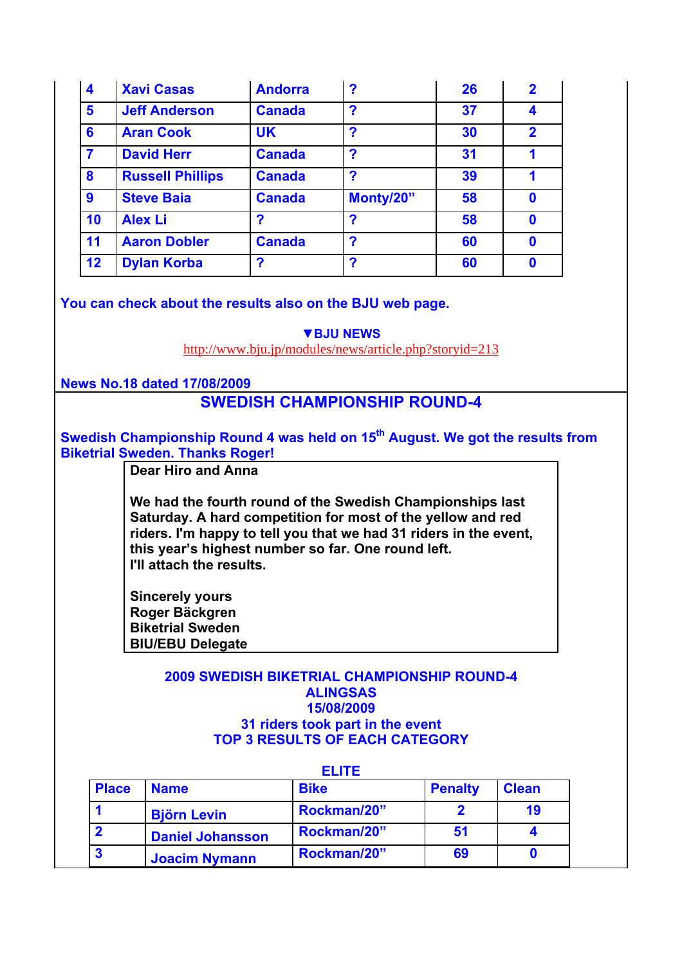| $\overline{\mathbf{4}}$ | <b>Xavi Casas</b>       | <b>Andorra</b> | ?         | 26 | $\overline{\mathbf{2}}$ |
|-------------------------|-------------------------|----------------|-----------|----|-------------------------|
| 5                       | <b>Jeff Anderson</b>    | <b>Canada</b>  | ?         | 37 | 4                       |
| 6                       | <b>Aran Cook</b>        | <b>UK</b>      | ?         | 30 | $\overline{2}$          |
| 7                       | <b>David Herr</b>       | <b>Canada</b>  | ?         | 31 |                         |
| 8                       | <b>Russell Phillips</b> | <b>Canada</b>  | ?         | 39 |                         |
| 9                       | <b>Steve Baia</b>       | <b>Canada</b>  | Monty/20" | 58 | 0                       |
| 10                      | <b>Alex Li</b>          | 2              | ?         | 58 | 0                       |
| 11                      | <b>Aaron Dobler</b>     | <b>Canada</b>  | ?         | 60 | $\mathbf 0$             |
| 12                      | <b>Dylan Korba</b>      | 2              | ?         | 60 | 0                       |

**You can check about the results also on the BJU web page.**

**▼BJU NEWS**

http://www.bju.jp/modules/news/article.php?storyid=213

**News No.18 dated 17/08/2009**

## **SWEDISH CHAMPIONSHIP ROUND-4**

Swedish Championship Round 4 was held on 15<sup>th</sup> August. We got the results from **Biketrial Sweden. Thanks Roger!** 

**Dear Hiro and Anna**

**We had the fourth round of the Swedish Championships last Saturday. A hard competition for most of the yellow and red riders. I'm happy to tell you that we had 31 riders in the event, this year's highest number so far. One round left. I'll attach the results.**

**Sincerely yours Roger Bäckgren Biketrial Sweden BIU/EBU Delegate** 

### **2009 SWEDISH BIKETRIAL CHAMPIONSHIP ROUND-4 ALINGSAS 15/08/2009 31 riders took part in the event TOP 3 RESULTS OF EACH CATEGORY**

| ELITE        |                         |             |                |              |  |
|--------------|-------------------------|-------------|----------------|--------------|--|
| <b>Place</b> | <b>Name</b>             | <b>Bike</b> | <b>Penalty</b> | <b>Clean</b> |  |
|              | <b>Björn Levin</b>      | Rockman/20" |                | 19           |  |
|              | <b>Daniel Johansson</b> | Rockman/20" | 51             |              |  |
|              | <b>Joacim Nymann</b>    | Rockman/20" | 69             |              |  |